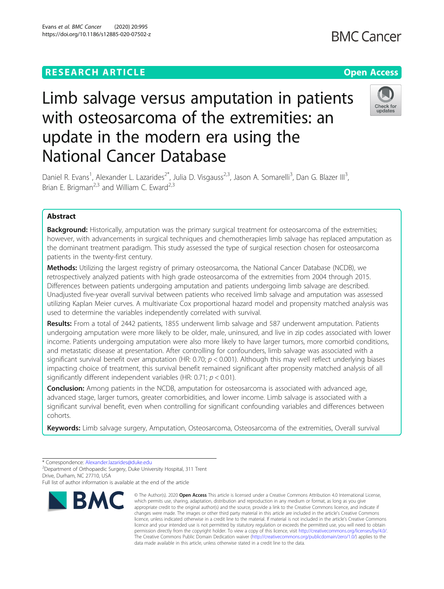**BMC Cancer** 

# Limb salvage versus amputation in patients with osteosarcoma of the extremities: an update in the modern era using the National Cancer Database



Daniel R. Evans<sup>1</sup>, Alexander L. Lazarides<sup>2\*</sup>, Julia D. Visgauss<sup>2,3</sup>, Jason A. Somarelli<sup>3</sup>, Dan G. Blazer III<sup>3</sup> , Brian E. Brigman<sup>2,3</sup> and William C. Eward<sup>2,3</sup>

# Abstract

**Background:** Historically, amputation was the primary surgical treatment for osteosarcoma of the extremities; however, with advancements in surgical techniques and chemotherapies limb salvage has replaced amputation as the dominant treatment paradigm. This study assessed the type of surgical resection chosen for osteosarcoma patients in the twenty-first century.

Methods: Utilizing the largest registry of primary osteosarcoma, the National Cancer Database (NCDB), we retrospectively analyzed patients with high grade osteosarcoma of the extremities from 2004 through 2015. Differences between patients undergoing amputation and patients undergoing limb salvage are described. Unadjusted five-year overall survival between patients who received limb salvage and amputation was assessed utilizing Kaplan Meier curves. A multivariate Cox proportional hazard model and propensity matched analysis was used to determine the variables independently correlated with survival.

Results: From a total of 2442 patients, 1855 underwent limb salvage and 587 underwent amputation. Patients undergoing amputation were more likely to be older, male, uninsured, and live in zip codes associated with lower income. Patients undergoing amputation were also more likely to have larger tumors, more comorbid conditions, and metastatic disease at presentation. After controlling for confounders, limb salvage was associated with a significant survival benefit over amputation (HR: 0.70;  $p < 0.001$ ). Although this may well reflect underlying biases impacting choice of treatment, this survival benefit remained significant after propensity matched analysis of all significantly different independent variables (HR: 0.71;  $p < 0.01$ ).

**Conclusion:** Among patients in the NCDB, amputation for osteosarcoma is associated with advanced age, advanced stage, larger tumors, greater comorbidities, and lower income. Limb salvage is associated with a significant survival benefit, even when controlling for significant confounding variables and differences between cohorts.

Keywords: Limb salvage surgery, Amputation, Osteosarcoma, Osteosarcoma of the extremities, Overall survival

\* Correspondence: [Alexander.lazarides@duke.edu](mailto:Alexander.lazarides@duke.edu) <sup>2</sup>

<sup>2</sup>Department of Orthopaedic Surgery, Duke University Hospital, 311 Trent Drive, Durham, NC 27710, USA

Full list of author information is available at the end of the article



<sup>©</sup> The Author(s), 2020 **Open Access** This article is licensed under a Creative Commons Attribution 4.0 International License, which permits use, sharing, adaptation, distribution and reproduction in any medium or format, as long as you give appropriate credit to the original author(s) and the source, provide a link to the Creative Commons licence, and indicate if changes were made. The images or other third party material in this article are included in the article's Creative Commons licence, unless indicated otherwise in a credit line to the material. If material is not included in the article's Creative Commons licence and your intended use is not permitted by statutory regulation or exceeds the permitted use, you will need to obtain permission directly from the copyright holder. To view a copy of this licence, visit [http://creativecommons.org/licenses/by/4.0/.](http://creativecommons.org/licenses/by/4.0/) The Creative Commons Public Domain Dedication waiver [\(http://creativecommons.org/publicdomain/zero/1.0/](http://creativecommons.org/publicdomain/zero/1.0/)) applies to the data made available in this article, unless otherwise stated in a credit line to the data.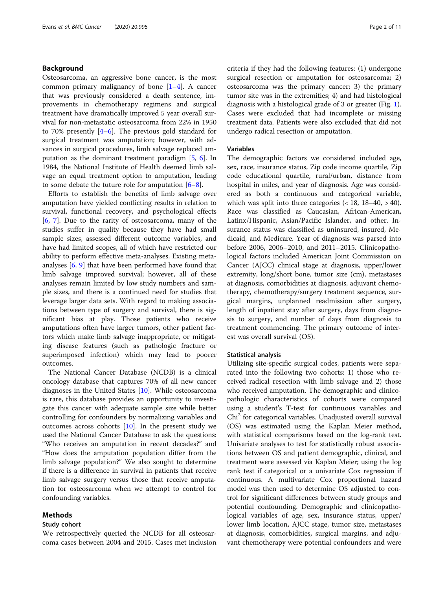# Background

Osteosarcoma, an aggressive bone cancer, is the most common primary malignancy of bone [\[1](#page-10-0)–[4](#page-10-0)]. A cancer that was previously considered a death sentence, improvements in chemotherapy regimens and surgical treatment have dramatically improved 5 year overall survival for non-metastatic osteosarcoma from 22% in 1950 to 70% presently [[4](#page-10-0)–[6\]](#page-10-0). The previous gold standard for surgical treatment was amputation; however, with advances in surgical procedures, limb salvage replaced amputation as the dominant treatment paradigm [[5,](#page-10-0) [6\]](#page-10-0). In 1984, the National Institute of Health deemed limb salvage an equal treatment option to amputation, leading to some debate the future role for amputation  $[6-8]$  $[6-8]$  $[6-8]$  $[6-8]$ .

Efforts to establish the benefits of limb salvage over amputation have yielded conflicting results in relation to survival, functional recovery, and psychological effects [[6,](#page-10-0) [7](#page-10-0)]. Due to the rarity of osteosarcoma, many of the studies suffer in quality because they have had small sample sizes, assessed different outcome variables, and have had limited scopes, all of which have restricted our ability to perform effective meta-analyses. Existing metaanalyses [[6,](#page-10-0) [9](#page-10-0)] that have been performed have found that limb salvage improved survival; however, all of these analyses remain limited by low study numbers and sample sizes, and there is a continued need for studies that leverage larger data sets. With regard to making associations between type of surgery and survival, there is significant bias at play. Those patients who receive amputations often have larger tumors, other patient factors which make limb salvage inappropriate, or mitigating disease features (such as pathologic fracture or superimposed infection) which may lead to poorer outcomes.

The National Cancer Database (NCDB) is a clinical oncology database that captures 70% of all new cancer diagnoses in the United States [[10](#page-10-0)]. While osteosarcoma is rare, this database provides an opportunity to investigate this cancer with adequate sample size while better controlling for confounders by normalizing variables and outcomes across cohorts  $[10]$  $[10]$ . In the present study we used the National Cancer Database to ask the questions: "Who receives an amputation in recent decades?" and "How does the amputation population differ from the limb salvage population?" We also sought to determine if there is a difference in survival in patients that receive limb salvage surgery versus those that receive amputation for osteosarcoma when we attempt to control for confounding variables.

# Methods

# Study cohort

We retrospectively queried the NCDB for all osteosarcoma cases between 2004 and 2015. Cases met inclusion criteria if they had the following features: (1) undergone surgical resection or amputation for osteosarcoma; 2) osteosarcoma was the primary cancer; 3) the primary tumor site was in the extremities; 4) and had histological diagnosis with a histological grade of 3 or greater (Fig. [1](#page-2-0)). Cases were excluded that had incomplete or missing treatment data. Patients were also excluded that did not undergo radical resection or amputation.

# Variables

The demographic factors we considered included age, sex, race, insurance status, Zip code income quartile, Zip code educational quartile, rural/urban, distance from hospital in miles, and year of diagnosis. Age was considered as both a continuous and categorical variable, which was split into three categories (< 18, 18–40, > 40). Race was classified as Caucasian, African-American, Latinx/Hispanic, Asian/Pacific Islander, and other. Insurance status was classified as uninsured, insured, Medicaid, and Medicare. Year of diagnosis was parsed into before 2006, 2006–2010, and 2011–2015. Clinicopathological factors included American Joint Commission on Cancer (AJCC) clinical stage at diagnosis, upper/lower extremity, long/short bone, tumor size (cm), metastases at diagnosis, comorbidities at diagnosis, adjuvant chemotherapy, chemotherapy/surgery treatment sequence, surgical margins, unplanned readmission after surgery, length of inpatient stay after surgery, days from diagnosis to surgery, and number of days from diagnosis to treatment commencing. The primary outcome of interest was overall survival (OS).

#### Statistical analysis

Utilizing site-specific surgical codes, patients were separated into the following two cohorts: 1) those who received radical resection with limb salvage and 2) those who received amputation. The demographic and clinicopathologic characteristics of cohorts were compared using a student's T-test for continuous variables and Chi<sup>2</sup> for categorical variables. Unadjusted overall survival (OS) was estimated using the Kaplan Meier method, with statistical comparisons based on the log-rank test. Univariate analyses to test for statistically robust associations between OS and patient demographic, clinical, and treatment were assessed via Kaplan Meier; using the log rank test if categorical or a univariate Cox regression if continuous. A multivariate Cox proportional hazard model was then used to determine OS adjusted to control for significant differences between study groups and potential confounding. Demographic and clinicopathological variables of age, sex, insurance status, upper/ lower limb location, AJCC stage, tumor size, metastases at diagnosis, comorbidities, surgical margins, and adjuvant chemotherapy were potential confounders and were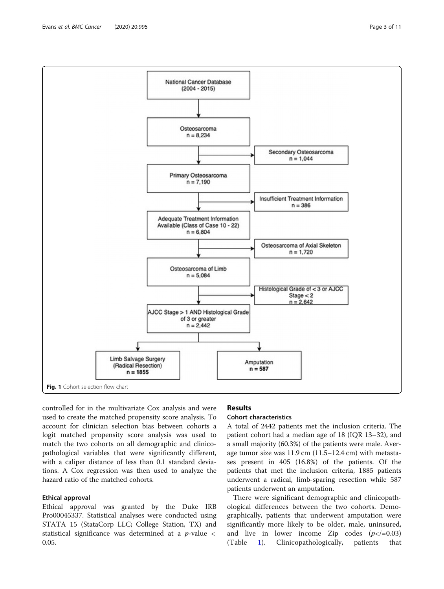controlled for in the multivariate Cox analysis and were used to create the matched propensity score analysis. To account for clinician selection bias between cohorts a logit matched propensity score analysis was used to match the two cohorts on all demographic and clinicopathological variables that were significantly different, with a caliper distance of less than 0.1 standard deviations. A Cox regression was then used to analyze the hazard ratio of the matched cohorts.

# Ethical approval

Ethical approval was granted by the Duke IRB Pro00045337. Statistical analyses were conducted using STATA 15 (StataCorp LLC; College Station, TX) and statistical significance was determined at a  $p$ -value  $\lt$ 0.05.

# **Results**

# Cohort characteristics

A total of 2442 patients met the inclusion criteria. The patient cohort had a median age of 18 (IQR 13–32), and a small majority (60.3%) of the patients were male. Average tumor size was 11.9 cm (11.5–12.4 cm) with metastases present in 405 (16.8%) of the patients. Of the patients that met the inclusion criteria, 1885 patients underwent a radical, limb-sparing resection while 587 patients underwent an amputation.

There were significant demographic and clinicopathological differences between the two cohorts. Demographically, patients that underwent amputation were significantly more likely to be older, male, uninsured, and live in lower income Zip codes  $(p<1)=0.03$ ) (Table [1\)](#page-3-0). Clinicopathologically, patients that

<span id="page-2-0"></span>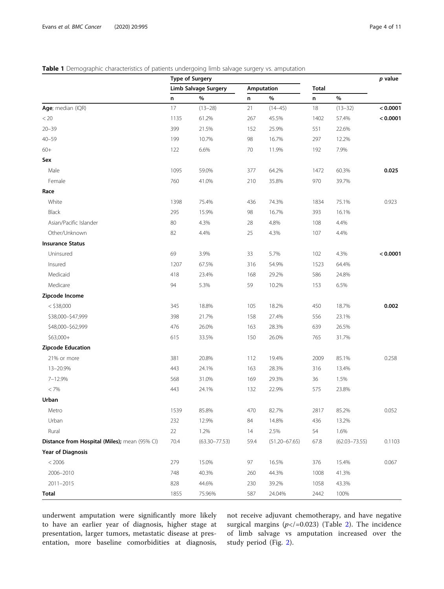# <span id="page-3-0"></span>Table 1 Demographic characteristics of patients undergoing limb salvage surgery vs. amputation

|                                                      |                      | <b>Type of Surgery</b> |      |                   |              |                   | $p$ value |  |
|------------------------------------------------------|----------------------|------------------------|------|-------------------|--------------|-------------------|-----------|--|
|                                                      | Limb Salvage Surgery |                        |      | Amputation        | <b>Total</b> |                   |           |  |
|                                                      | n                    | $\%$                   | n    | $\%$              | n            | $\%$              |           |  |
| Age; median (IQR)                                    | 17                   | $(13 - 28)$            | 21   | $(14 - 45)$       | 18           | $(13 - 32)$       | < 0.0001  |  |
| $< 20\,$                                             | 1135                 | 61.2%                  | 267  | 45.5%             | 1402         | 57.4%             | < 0.0001  |  |
| $20 - 39$                                            | 399                  | 21.5%                  | 152  | 25.9%             | 551          | 22.6%             |           |  |
| $40 - 59$                                            | 199                  | 10.7%                  | 98   | 16.7%             | 297          | 12.2%             |           |  |
| $60+$                                                | 122                  | 6.6%                   | 70   | 11.9%             | 192          | 7.9%              |           |  |
| Sex                                                  |                      |                        |      |                   |              |                   |           |  |
| Male                                                 | 1095                 | 59.0%                  | 377  | 64.2%             | 1472         | 60.3%             | 0.025     |  |
| Female                                               | 760                  | 41.0%                  | 210  | 35.8%             | 970          | 39.7%             |           |  |
| Race                                                 |                      |                        |      |                   |              |                   |           |  |
| White                                                | 1398                 | 75.4%                  | 436  | 74.3%             | 1834         | 75.1%             | 0.923     |  |
| Black                                                | 295                  | 15.9%                  | 98   | 16.7%             | 393          | 16.1%             |           |  |
| Asian/Pacific Islander                               | 80                   | 4.3%                   | 28   | 4.8%              | 108          | 4.4%              |           |  |
| Other/Unknown                                        | 82                   | 4.4%                   | 25   | 4.3%              | 107          | 4.4%              |           |  |
| <b>Insurance Status</b>                              |                      |                        |      |                   |              |                   |           |  |
| Uninsured                                            | 69                   | 3.9%                   | 33   | 5.7%              | 102          | 4.3%              | < 0.0001  |  |
| Insured                                              | 1207                 | 67.5%                  | 316  | 54.9%             | 1523         | 64.4%             |           |  |
| Medicaid                                             | 418                  | 23.4%                  | 168  | 29.2%             | 586          | 24.8%             |           |  |
| Medicare                                             | 94                   | 5.3%                   | 59   | 10.2%             | 153          | 6.5%              |           |  |
| Zipcode Income                                       |                      |                        |      |                   |              |                   |           |  |
| $<$ \$38,000                                         | 345                  | 18.8%                  | 105  | 18.2%             | 450          | 18.7%             | 0.002     |  |
| \$38,000-\$47,999                                    | 398                  | 21.7%                  | 158  | 27.4%             | 556          | 23.1%             |           |  |
| \$48,000-\$62,999                                    | 476                  | 26.0%                  | 163  | 28.3%             | 639          | 26.5%             |           |  |
| $$63,000+$                                           | 615                  | 33.5%                  | 150  | 26.0%             | 765          | 31.7%             |           |  |
| <b>Zipcode Education</b>                             |                      |                        |      |                   |              |                   |           |  |
| 21% or more                                          | 381                  | 20.8%                  | 112  | 19.4%             | 2009         | 85.1%             | 0.258     |  |
| 13-20.9%                                             | 443                  | 24.1%                  | 163  | 28.3%             | 316          | 13.4%             |           |  |
| 7-12.9%                                              | 568                  | 31.0%                  | 169  | 29.3%             | 36           | 1.5%              |           |  |
| $< 7\%$                                              | 443                  | 24.1%                  | 132  | 22.9%             | 575          | 23.8%             |           |  |
| Urban                                                |                      |                        |      |                   |              |                   |           |  |
| Metro                                                | 1539                 | 85.8%                  | 470  | 82.7%             | 2817         | 85.2%             | 0.052     |  |
| Urban                                                | 232                  | 12.9%                  | 84   | 14.8%             | 436          | 13.2%             |           |  |
| Rural                                                | 22                   | 1.2%                   | 14   | 2.5%              | 54           | 1.6%              |           |  |
| <b>Distance from Hospital (Miles);</b> mean (95% CI) | 70.4                 | $(63.30 - 77.53)$      | 59.4 | $(51.20 - 67.65)$ | 67.8         | $(62.03 - 73.55)$ | 0.1103    |  |
| <b>Year of Diagnosis</b>                             |                      |                        |      |                   |              |                   |           |  |
| < 2006                                               | 279                  | 15.0%                  | 97   | 16.5%             | 376          | 15.4%             | 0.067     |  |
| 2006-2010                                            | 748                  | 40.3%                  | 260  | 44.3%             | 1008         | 41.3%             |           |  |
| 2011-2015                                            | 828                  | 44.6%                  | 230  | 39.2%             | 1058         | 43.3%             |           |  |
| <b>Total</b>                                         | 1855                 | 75.96%                 | 587  | 24.04%            | 2442         | 100%              |           |  |

underwent amputation were significantly more likely to have an earlier year of diagnosis, higher stage at presentation, larger tumors, metastatic disease at presentation, more baseline comorbidities at diagnosis,

not receive adjuvant chemotherapy, and have negative surgical margins  $(p $(p $(p (Table 2). The incidence$$$ of limb salvage vs amputation increased over the study period (Fig. [2\)](#page-5-0).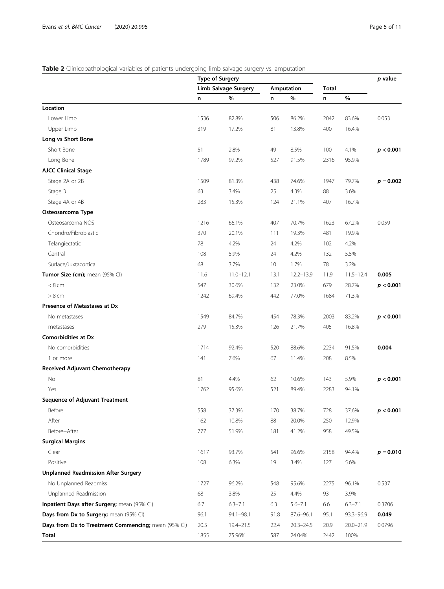# <span id="page-4-0"></span>Table 2 Clinicopathological variables of patients undergoing limb salvage surgery vs. amputation

|                                                     | <b>Type of Surgery</b> |               |      |               |       |               | $p$ value   |
|-----------------------------------------------------|------------------------|---------------|------|---------------|-------|---------------|-------------|
|                                                     | Limb Salvage Surgery   |               |      | Amputation    | Total |               |             |
|                                                     | n                      | $\%$          | n    | %             | n     | %             |             |
| Location                                            |                        |               |      |               |       |               |             |
| Lower Limb                                          | 1536                   | 82.8%         | 506  | 86.2%         | 2042  | 83.6%         | 0.053       |
| Upper Limb                                          | 319                    | 17.2%         | 81   | 13.8%         | 400   | 16.4%         |             |
| Long vs Short Bone                                  |                        |               |      |               |       |               |             |
| Short Bone                                          | 51                     | 2.8%          | 49   | 8.5%          | 100   | 4.1%          | p < 0.001   |
| Long Bone                                           | 1789                   | 97.2%         | 527  | 91.5%         | 2316  | 95.9%         |             |
| <b>AJCC Clinical Stage</b>                          |                        |               |      |               |       |               |             |
| Stage 2A or 2B                                      | 1509                   | 81.3%         | 438  | 74.6%         | 1947  | 79.7%         | $p = 0.002$ |
| Stage 3                                             | 63                     | 3.4%          | 25   | 4.3%          | 88    | 3.6%          |             |
| Stage 4A or 4B                                      | 283                    | 15.3%         | 124  | 21.1%         | 407   | 16.7%         |             |
| Osteosarcoma Type                                   |                        |               |      |               |       |               |             |
| Osteosarcoma NOS                                    | 1216                   | 66.1%         | 407  | 70.7%         | 1623  | 67.2%         | 0.059       |
| Chondro/Fibroblastic                                | 370                    | 20.1%         | 111  | 19.3%         | 481   | 19.9%         |             |
| Telangiectatic                                      | 78                     | 4.2%          | 24   | 4.2%          | 102   | 4.2%          |             |
| Central                                             | 108                    | 5.9%          | 24   | 4.2%          | 132   | 5.5%          |             |
| Surface/Juxtacortical                               | 68                     | 3.7%          | 10   | 1.7%          | 78    | 3.2%          |             |
| Tumor Size (cm); mean (95% CI)                      | 11.6                   | $11.0 - 12.1$ | 13.1 | $12.2 - 13.9$ | 11.9  | $11.5 - 12.4$ | 0.005       |
| $< 8$ cm                                            | 547                    | 30.6%         | 132  | 23.0%         | 679   | 28.7%         | p < 0.001   |
| > 8 cm                                              | 1242                   | 69.4%         | 442  | 77.0%         | 1684  | 71.3%         |             |
| Presence of Metastases at Dx                        |                        |               |      |               |       |               |             |
| No metastases                                       | 1549                   | 84.7%         | 454  | 78.3%         | 2003  | 83.2%         | p < 0.001   |
| metastases                                          | 279                    | 15.3%         | 126  | 21.7%         | 405   | 16.8%         |             |
| <b>Comorbidities at Dx</b>                          |                        |               |      |               |       |               |             |
| No comorbidities                                    | 1714                   | 92.4%         | 520  | 88.6%         | 2234  | 91.5%         | 0.004       |
| 1 or more                                           | 141                    | 7.6%          | 67   | 11.4%         | 208   | 8.5%          |             |
| Received Adjuvant Chemotherapy                      |                        |               |      |               |       |               |             |
| No                                                  | 81                     | 4.4%          | 62   | 10.6%         | 143   | 5.9%          | p < 0.001   |
| Yes                                                 | 1762                   | 95.6%         | 521  | 89.4%         | 2283  | 94.1%         |             |
| <b>Sequence of Adjuvant Treatment</b>               |                        |               |      |               |       |               |             |
| Before                                              | 558                    | 37.3%         | 170  | 38.7%         | 728   | 37.6%         | p < 0.001   |
| After                                               | 162                    | 10.8%         | 88   | 20.0%         | 250   | 12.9%         |             |
| Before+After                                        | 777                    | 51.9%         | 181  | 41.2%         | 958   | 49.5%         |             |
| <b>Surgical Margins</b>                             |                        |               |      |               |       |               |             |
| Clear                                               | 1617                   | 93.7%         | 541  | 96.6%         | 2158  | 94.4%         | $p = 0.010$ |
| Positive                                            | 108                    | 6.3%          | 19   | 3.4%          | 127   | 5.6%          |             |
| <b>Unplanned Readmission After Surgery</b>          |                        |               |      |               |       |               |             |
| No Unplanned Readmiss                               | 1727                   | 96.2%         | 548  | 95.6%         | 2275  | 96.1%         | 0.537       |
| Unplanned Readmission                               | 68                     | 3.8%          | 25   | 4.4%          | 93    | 3.9%          |             |
| Inpatient Days after Surgery; mean (95% CI)         | 6.7                    | $6.3 - 7.1$   | 6.3  | $5.6 - 7.1$   | 6.6   | $6.3 - 7.1$   | 0.3706      |
| Days from Dx to Surgery; mean (95% CI)              | 96.1                   | 94.1-98.1     | 91.8 | 87.6-96.1     | 95.1  | 93.3-96.9     | 0.049       |
| Days from Dx to Treatment Commencing; mean (95% CI) | 20.5                   | 19.4-21.5     | 22.4 | $20.3 - 24.5$ | 20.9  | $20.0 - 21.9$ | 0.0796      |
| Total                                               | 1855                   | 75.96%        | 587  | 24.04%        | 2442  | 100%          |             |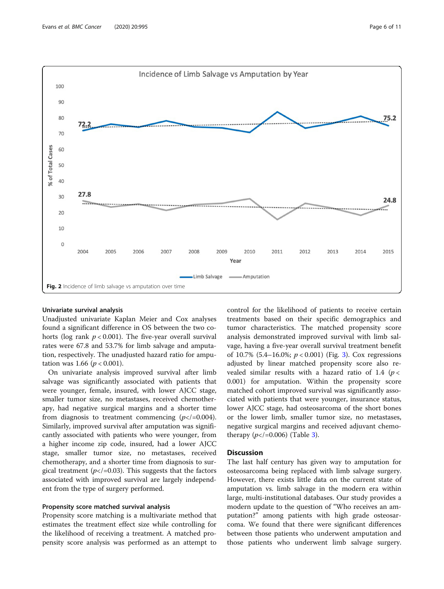<span id="page-5-0"></span>

# Univariate survival analysis

Unadjusted univariate Kaplan Meier and Cox analyses found a significant difference in OS between the two cohorts (log rank  $p < 0.001$ ). The five-year overall survival rates were 67.8 and 53.7% for limb salvage and amputation, respectively. The unadjusted hazard ratio for amputation was 1.66 ( $p < 0.001$ ).

On univariate analysis improved survival after limb salvage was significantly associated with patients that were younger, female, insured, with lower AJCC stage, smaller tumor size, no metastases, received chemotherapy, had negative surgical margins and a shorter time from diagnosis to treatment commencing  $(p<1) = 0.004$ . Similarly, improved survival after amputation was significantly associated with patients who were younger, from a higher income zip code, insured, had a lower AJCC stage, smaller tumor size, no metastases, received chemotherapy, and a shorter time from diagnosis to surgical treatment ( $p$ </=0.03). This suggests that the factors associated with improved survival are largely independent from the type of surgery performed.

# Propensity score matched survival analysis

Propensity score matching is a multivariate method that estimates the treatment effect size while controlling for the likelihood of receiving a treatment. A matched propensity score analysis was performed as an attempt to control for the likelihood of patients to receive certain treatments based on their specific demographics and tumor characteristics. The matched propensity score analysis demonstrated improved survival with limb salvage, having a five-year overall survival treatment benefit of 10.7% (5.4–16.0%;  $p < 0.001$ ) (Fig. [3\)](#page-6-0). Cox regressions adjusted by linear matched propensity score also revealed similar results with a hazard ratio of 1.4 ( $p <$ 0.001) for amputation. Within the propensity score matched cohort improved survival was significantly associated with patients that were younger, insurance status, lower AJCC stage, had osteosarcoma of the short bones or the lower limb, smaller tumor size, no metastases, negative surgical margins and received adjuvant chemotherapy  $(p (Table [3](#page-7-0)).$ 

# **Discussion**

The last half century has given way to amputation for osteosarcoma being replaced with limb salvage surgery. However, there exists little data on the current state of amputation vs. limb salvage in the modern era within large, multi-institutional databases. Our study provides a modern update to the question of "Who receives an amputation?" among patients with high grade osteosarcoma. We found that there were significant differences between those patients who underwent amputation and those patients who underwent limb salvage surgery.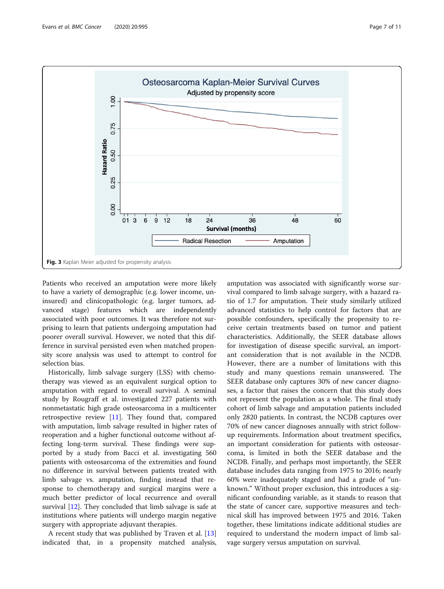<span id="page-6-0"></span>

Patients who received an amputation were more likely to have a variety of demographic (e.g. lower income, uninsured) and clinicopathologic (e.g. larger tumors, advanced stage) features which are independently associated with poor outcomes. It was therefore not surprising to learn that patients undergoing amputation had poorer overall survival. However, we noted that this difference in survival persisted even when matched propensity score analysis was used to attempt to control for selection bias.

Historically, limb salvage surgery (LSS) with chemotherapy was viewed as an equivalent surgical option to amputation with regard to overall survival. A seminal study by Rougraff et al. investigated 227 patients with nonmetastatic high grade osteosarcoma in a multicenter retrospective review [[11\]](#page-10-0). They found that, compared with amputation, limb salvage resulted in higher rates of reoperation and a higher functional outcome without affecting long-term survival. These findings were supported by a study from Bacci et al. investigating 560 patients with osteosarcoma of the extremities and found no difference in survival between patients treated with limb salvage vs. amputation, finding instead that response to chemotherapy and surgical margins were a much better predictor of local recurrence and overall survival [\[12](#page-10-0)]. They concluded that limb salvage is safe at institutions where patients will undergo margin negative surgery with appropriate adjuvant therapies.

A recent study that was published by Traven et al. [[13](#page-10-0)] indicated that, in a propensity matched analysis, amputation was associated with significantly worse survival compared to limb salvage surgery, with a hazard ratio of 1.7 for amputation. Their study similarly utilized advanced statistics to help control for factors that are possible confounders, specifically the propensity to receive certain treatments based on tumor and patient characteristics. Additionally, the SEER database allows for investigation of disease specific survival, an important consideration that is not available in the NCDB. However, there are a number of limitations with this study and many questions remain unanswered. The SEER database only captures 30% of new cancer diagnoses, a factor that raises the concern that this study does not represent the population as a whole. The final study cohort of limb salvage and amputation patients included only 2820 patients. In contrast, the NCDB captures over 70% of new cancer diagnoses annually with strict followup requirements. Information about treatment specifics, an important consideration for patients with osteosarcoma, is limited in both the SEER database and the NCDB. Finally, and perhaps most importantly, the SEER database includes data ranging from 1975 to 2016; nearly 60% were inadequately staged and had a grade of "unknown." Without proper exclusion, this introduces a significant confounding variable, as it stands to reason that the state of cancer care, supportive measures and technical skill has improved between 1975 and 2016. Taken together, these limitations indicate additional studies are required to understand the modern impact of limb salvage surgery versus amputation on survival.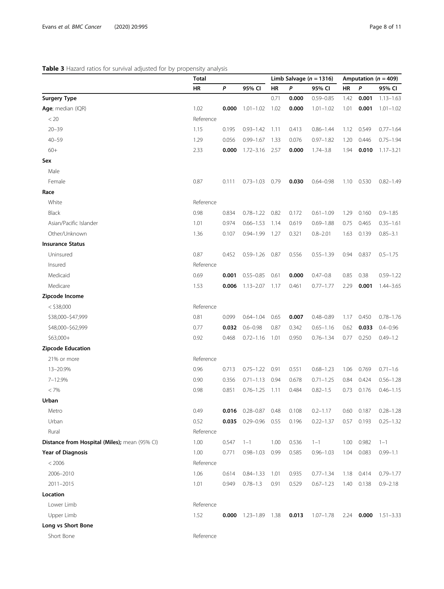# <span id="page-7-0"></span>Table 3 Hazard ratios for survival adjusted for by propensity analysis

|                                               | <b>Total</b> |       |                   | Limb Salvage ( $n = 1316$ ) |       |               | Amputation ( $n = 409$ ) |       |                             |
|-----------------------------------------------|--------------|-------|-------------------|-----------------------------|-------|---------------|--------------------------|-------|-----------------------------|
|                                               | HR           | P     | 95% CI            | HR                          | Ρ     | 95% CI        | HR                       | P     | 95% CI                      |
| <b>Surgery Type</b>                           |              |       |                   | 0.71                        | 0.000 | $0.59 - 0.85$ | 1.42                     | 0.001 | $1.13 - 1.63$               |
| Age; median (IQR)                             | 1.02         | 0.000 | $1.01 - 1.02$     | 1.02                        | 0.000 | $1.01 - 1.02$ | 1.01                     | 0.001 | $1.01 - 1.02$               |
| < 20                                          | Reference    |       |                   |                             |       |               |                          |       |                             |
| $20 - 39$                                     | 1.15         | 0.195 | $0.93 - 1.42$     | -1.11                       | 0.413 | $0.86 - 1.44$ | 1.12                     | 0.549 | $0.77 - 1.64$               |
| $40 - 59$                                     | 1.29         | 0.056 | $0.99 - 1.67$     | 1.33                        | 0.076 | $0.97 - 1.82$ | 1.20                     | 0.446 | $0.75 - 1.94$               |
| $60+$                                         | 2.33         | 0.000 | $1.72 - 3.16$     | 2.57                        | 0.000 | $1.74 - 3.8$  | 1.94                     | 0.010 | $1.17 - 3.21$               |
| Sex                                           |              |       |                   |                             |       |               |                          |       |                             |
| Male                                          |              |       |                   |                             |       |               |                          |       |                             |
| Female                                        | 0.87         | 0.111 | $0.73 - 1.03$     | 0.79                        | 0.030 | $0.64 - 0.98$ | 1.10                     | 0.530 | $0.82 - 1.49$               |
| Race                                          |              |       |                   |                             |       |               |                          |       |                             |
| White                                         | Reference    |       |                   |                             |       |               |                          |       |                             |
| Black                                         | 0.98         | 0.834 | $0.78 - 1.22$     | 0.82                        | 0.172 | $0.61 - 1.09$ | 1.29                     | 0.160 | $0.9 - 1.85$                |
| Asian/Pacific Islander                        | 1.01         | 0.974 | $0.66 - 1.53$     | 1.14                        | 0.619 | $0.69 - 1.88$ | 0.75                     | 0.465 | $0.35 - 1.61$               |
| Other/Unknown                                 | 1.36         | 0.107 | $0.94 - 1.99$     | 1.27                        | 0.321 | $0.8 - 2.01$  | 1.63                     | 0.139 | $0.85 - 3.1$                |
| <b>Insurance Status</b>                       |              |       |                   |                             |       |               |                          |       |                             |
| Uninsured                                     | 0.87         | 0.452 | $0.59 - 1.26$     | 0.87                        | 0.556 | $0.55 - 1.39$ | 0.94                     | 0.837 | $0.5 - 1.75$                |
| Insured                                       | Reference    |       |                   |                             |       |               |                          |       |                             |
| Medicaid                                      | 0.69         | 0.001 | $0.55 - 0.85$     | 0.61                        | 0.000 | $0.47 - 0.8$  | 0.85                     | 0.38  | $0.59 - 1.22$               |
| Medicare                                      | 1.53         | 0.006 | $1.13 - 2.07$     | 1.17                        | 0.461 | $0.77 - 1.77$ | 2.29                     | 0.001 | $1.44 - 3.65$               |
| Zipcode Income                                |              |       |                   |                             |       |               |                          |       |                             |
| $<$ \$38,000                                  | Reference    |       |                   |                             |       |               |                          |       |                             |
| \$38,000-\$47,999                             | 0.81         | 0.099 | $0.64 - 1.04$     | 0.65                        | 0.007 | $0.48 - 0.89$ | 1.17                     | 0.450 | $0.78 - 1.76$               |
| \$48,000-\$62,999                             | 0.77         | 0.032 | $0.6 - 0.98$      | 0.87                        | 0.342 | $0.65 - 1.16$ | 0.62                     | 0.033 | $0.4 - 0.96$                |
| $$63,000+$                                    | 0.92         | 0.468 | $0.72 - 1.16$     | 1.01                        | 0.950 | $0.76 - 1.34$ | 0.77                     | 0.250 | $0.49 - 1.2$                |
| <b>Zipcode Education</b>                      |              |       |                   |                             |       |               |                          |       |                             |
| 21% or more                                   | Reference    |       |                   |                             |       |               |                          |       |                             |
| 13-20.9%                                      | 0.96         | 0.713 | $0.75 - 1.22$     | 0.91                        | 0.551 | $0.68 - 1.23$ | 1.06                     | 0.769 | $0.71 - 1.6$                |
| 7-12.9%                                       | 0.90         | 0.356 | $0.71 - 1.13$     | 0.94                        | 0.678 | $0.71 - 1.25$ | 0.84                     | 0.424 | $0.56 - 1.28$               |
| $< 7\%$                                       | 0.98         | 0.851 | $0.76 - 1.25$     | 1.11                        | 0.484 | $0.82 - 1.5$  | 0.73                     | 0.176 | $0.46 - 1.15$               |
| Urban                                         |              |       |                   |                             |       |               |                          |       |                             |
| Metro                                         | 0.49         |       | $0.016$ 0.28-0.87 | 0.48                        | 0.108 | $0.2 - 1.17$  | 0.60                     | 0.187 | $0.28 - 1.28$               |
| Urban                                         | 0.52         | 0.035 | $0.29 - 0.96$     | 0.55                        | 0.196 | $0.22 - 1.37$ | 0.57                     | 0.193 | $0.25 - 1.32$               |
| Rural                                         | Reference    |       |                   |                             |       |               |                          |       |                             |
| Distance from Hospital (Miles); mean (95% CI) | 1.00         | 0.547 | $1 - 1$           | 1.00                        | 0.536 | $1 - 1$       | 1.00                     | 0.982 | $1 - 1$                     |
| <b>Year of Diagnosis</b>                      | 1.00         | 0.771 | $0.98 - 1.03$     | 0.99                        | 0.585 | $0.96 - 1.03$ | 1.04                     | 0.083 | $0.99 - 1.1$                |
| < 2006                                        | Reference    |       |                   |                             |       |               |                          |       |                             |
| 2006-2010                                     | 1.06         | 0.614 | $0.84 - 1.33$     | 1.01                        | 0.935 | $0.77 - 1.34$ | 1.18                     | 0.414 | $0.79 - 1.77$               |
| 2011-2015                                     | 1.01         | 0.949 | $0.78 - 1.3$      | 0.91                        | 0.529 | $0.67 - 1.23$ | 1.40                     | 0.138 | $0.9 - 2.18$                |
| Location                                      |              |       |                   |                             |       |               |                          |       |                             |
| Lower Limb                                    | Reference    |       |                   |                             |       |               |                          |       |                             |
| Upper Limb                                    | 1.52         |       | $0.000$ 1.23-1.89 | 1.38                        | 0.013 | $1.07 - 1.78$ |                          |       | 2.24 <b>0.000</b> 1.51-3.33 |
| Long vs Short Bone                            |              |       |                   |                             |       |               |                          |       |                             |
| Short Bone                                    | Reference    |       |                   |                             |       |               |                          |       |                             |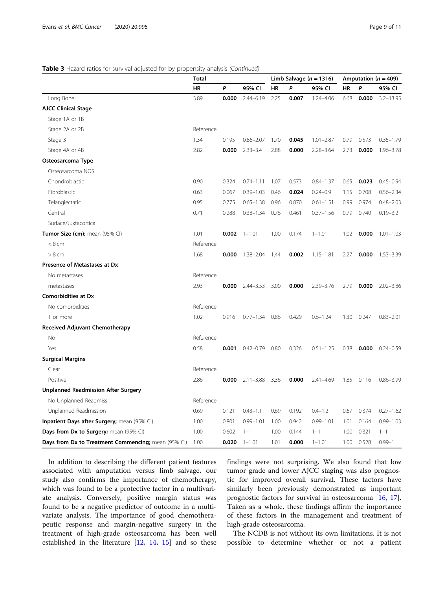# Table 3 Hazard ratios for survival adjusted for by propensity analysis (Continued)

|                                                     | <b>Total</b> |       |               | Limb Salvage ( $n = 1316$ ) |       |               | Amputation ( $n = 409$ ) |       |               |
|-----------------------------------------------------|--------------|-------|---------------|-----------------------------|-------|---------------|--------------------------|-------|---------------|
|                                                     | HR           | P     | 95% CI        | HR                          | P     | 95% CI        | <b>HR</b>                | P     | 95% CI        |
| Long Bone                                           | 3.89         | 0.000 | $2.44 - 6.19$ | 2.25                        | 0.007 | 1.24-4.06     | 6.68                     | 0.000 | $3.2 - 13.95$ |
| <b>AJCC Clinical Stage</b>                          |              |       |               |                             |       |               |                          |       |               |
| Stage 1A or 1B                                      |              |       |               |                             |       |               |                          |       |               |
| Stage 2A or 2B                                      | Reference    |       |               |                             |       |               |                          |       |               |
| Stage 3                                             | 1.34         | 0.195 | $0.86 - 2.07$ | 1.70                        | 0.045 | $1.01 - 2.87$ | 0.79                     | 0.573 | $0.35 - 1.79$ |
| Stage 4A or 4B                                      | 2.82         | 0.000 | $2.33 - 3.4$  | 2.88                        | 0.000 | $2.28 - 3.64$ | 2.73                     | 0.000 | $1.96 - 3.78$ |
| Osteosarcoma Type                                   |              |       |               |                             |       |               |                          |       |               |
| Osteosarcoma NOS                                    |              |       |               |                             |       |               |                          |       |               |
| Chondroblastic                                      | 0.90         | 0.324 | $0.74 - 1.11$ | 1.07                        | 0.573 | $0.84 - 1.37$ | 0.65                     | 0.023 | $0.45 - 0.94$ |
| Fibroblastic                                        | 0.63         | 0.067 | $0.39 - 1.03$ | 0.46                        | 0.024 | $0.24 - 0.9$  | 1.15                     | 0.708 | $0.56 - 2.34$ |
| Telangiectatic                                      | 0.95         | 0.775 | $0.65 - 1.38$ | 0.96                        | 0.870 | $0.61 - 1.51$ | 0.99                     | 0.974 | $0.48 - 2.03$ |
| Central                                             | 0.71         | 0.288 | $0.38 - 1.34$ | 0.76                        | 0.461 | $0.37 - 1.56$ | 0.79                     | 0.740 | $0.19 - 3.2$  |
| Surface/Juxtacortical                               |              |       |               |                             |       |               |                          |       |               |
| Tumor Size (cm); mean (95% CI)                      | 1.01         | 0.002 | $1 - 1.01$    | 1.00                        | 0.174 | $1 - 1.01$    | 1.02                     | 0.000 | $1.01 - 1.03$ |
| $< 8$ cm                                            | Reference    |       |               |                             |       |               |                          |       |               |
| > 8 cm                                              | 1.68         | 0.000 | $1.38 - 2.04$ | 1.44                        | 0.002 | $1.15 - 1.81$ | 2.27                     | 0.000 | $1.53 - 3.39$ |
| Presence of Metastases at Dx                        |              |       |               |                             |       |               |                          |       |               |
| No metastases                                       | Reference    |       |               |                             |       |               |                          |       |               |
| metastases                                          | 2.93         | 0.000 | $2.44 - 3.53$ | 3.00                        | 0.000 | 2.39-3.76     | 2.79                     | 0.000 | $2.02 - 3.86$ |
| <b>Comorbidities at Dx</b>                          |              |       |               |                             |       |               |                          |       |               |
| No comorbidities                                    | Reference    |       |               |                             |       |               |                          |       |               |
| 1 or more                                           | 1.02         | 0.916 | $0.77 - 1.34$ | 0.86                        | 0.429 | $0.6 - 1.24$  | 1.30                     | 0.247 | $0.83 - 2.01$ |
| Received Adjuvant Chemotherapy                      |              |       |               |                             |       |               |                          |       |               |
| No                                                  | Reference    |       |               |                             |       |               |                          |       |               |
| Yes                                                 | 0.58         | 0.001 | 0.42–0.79     | 0.80                        | 0.326 | $0.51 - 1.25$ | 0.38                     | 0.000 | $0.24 - 0.59$ |
| <b>Surgical Margins</b>                             |              |       |               |                             |       |               |                          |       |               |
| Clear                                               | Reference    |       |               |                             |       |               |                          |       |               |
| Positive                                            | 2.86         | 0.000 | $2.11 - 3.88$ | 3.36                        | 0.000 | 2.41-4.69     | 1.85                     | 0.116 | $0.86 - 3.99$ |
| <b>Unplanned Readmission After Surgery</b>          |              |       |               |                             |       |               |                          |       |               |
| No Unplanned Readmiss                               | Reference    |       |               |                             |       |               |                          |       |               |
| Unplanned Readmission                               | 0.69         | 0.121 | $0.43 - 1.1$  | 0.69                        | 0.192 | $0.4 - 1.2$   | 0.67                     | 0.374 | $0.27 - 1.62$ |
| Inpatient Days after Surgery; mean (95% CI)         | 1.00         | 0.801 | $0.99 - 1.01$ | 1.00                        | 0.942 | $0.99 - 1.01$ | 1.01                     | 0.164 | $0.99 - 1.03$ |
| Days from Dx to Surgery; mean (95% CI)              | 1.00         | 0.602 | $1 - 1$       | 1.00                        | 0.144 | $1 - 1$       | 1.00                     | 0.321 | $1 - 1$       |
| Days from Dx to Treatment Commencing; mean (95% CI) | 1.00         | 0.020 | $1 - 1.01$    | 1.01                        | 0.000 | $1 - 1.01$    | 1.00                     | 0.528 | $0.99 - 1$    |

In addition to describing the different patient features associated with amputation versus limb salvage, our study also confirms the importance of chemotherapy, which was found to be a protective factor in a multivariate analysis. Conversely, positive margin status was found to be a negative predictor of outcome in a multivariate analysis. The importance of good chemotherapeutic response and margin-negative surgery in the treatment of high-grade osteosarcoma has been well established in the literature [\[12,](#page-10-0) [14,](#page-10-0) [15](#page-10-0)] and so these findings were not surprising. We also found that low tumor grade and lower AJCC staging was also prognostic for improved overall survival. These factors have similarly been previously demonstrated as important prognostic factors for survival in osteosarcoma [[16](#page-10-0), [17](#page-10-0)]. Taken as a whole, these findings affirm the importance of these factors in the management and treatment of high-grade osteosarcoma.

The NCDB is not without its own limitations. It is not possible to determine whether or not a patient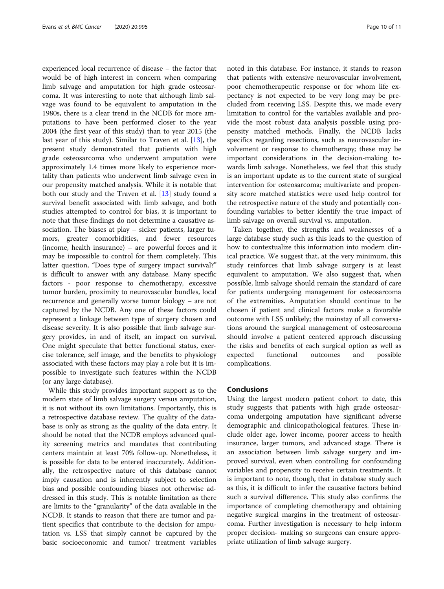experienced local recurrence of disease – the factor that would be of high interest in concern when comparing limb salvage and amputation for high grade osteosarcoma. It was interesting to note that although limb salvage was found to be equivalent to amputation in the 1980s, there is a clear trend in the NCDB for more amputations to have been performed closer to the year 2004 (the first year of this study) than to year 2015 (the last year of this study). Similar to Traven et al. [[13\]](#page-10-0), the present study demonstrated that patients with high grade osteosarcoma who underwent amputation were approximately 1.4 times more likely to experience mortality than patients who underwent limb salvage even in our propensity matched analysis. While it is notable that both our study and the Traven et al. [[13](#page-10-0)] study found a survival benefit associated with limb salvage, and both studies attempted to control for bias, it is important to note that these findings do not determine a causative association. The biases at play – sicker patients, larger tumors, greater comorbidities, and fewer resources (income, health insurance) – are powerful forces and it may be impossible to control for them completely. This latter question, "Does type of surgery impact survival?" is difficult to answer with any database. Many specific factors - poor response to chemotherapy, excessive tumor burden, proximity to neurovascular bundles, local recurrence and generally worse tumor biology – are not captured by the NCDB. Any one of these factors could represent a linkage between type of surgery chosen and disease severity. It is also possible that limb salvage surgery provides, in and of itself, an impact on survival. One might speculate that better functional status, exercise tolerance, self image, and the benefits to physiology associated with these factors may play a role but it is impossible to investigate such features within the NCDB (or any large database).

While this study provides important support as to the modern state of limb salvage surgery versus amputation, it is not without its own limitations. Importantly, this is a retrospective database review. The quality of the database is only as strong as the quality of the data entry. It should be noted that the NCDB employs advanced quality screening metrics and mandates that contributing centers maintain at least 70% follow-up. Nonetheless, it is possible for data to be entered inaccurately. Additionally, the retrospective nature of this database cannot imply causation and is inherently subject to selection bias and possible confounding biases not otherwise addressed in this study. This is notable limitation as there are limits to the "granularity" of the data available in the NCDB. It stands to reason that there are tumor and patient specifics that contribute to the decision for amputation vs. LSS that simply cannot be captured by the basic socioeconomic and tumor/ treatment variables

noted in this database. For instance, it stands to reason that patients with extensive neurovascular involvement, poor chemotherapeutic response or for whom life expectancy is not expected to be very long may be precluded from receiving LSS. Despite this, we made every limitation to control for the variables available and provide the most robust data analysis possible using propensity matched methods. Finally, the NCDB lacks specifics regarding resections, such as neurovascular involvement or response to chemotherapy; these may be important considerations in the decision-making towards limb salvage. Nonetheless, we feel that this study is an important update as to the current state of surgical intervention for osteosarcoma; multivariate and propensity score matched statistics were used help control for the retrospective nature of the study and potentially confounding variables to better identify the true impact of limb salvage on overall survival vs. amputation.

Taken together, the strengths and weaknesses of a large database study such as this leads to the question of how to contextualize this information into modern clinical practice. We suggest that, at the very minimum, this study reinforces that limb salvage surgery is at least equivalent to amputation. We also suggest that, when possible, limb salvage should remain the standard of care for patients undergoing management for osteosarcoma of the extremities. Amputation should continue to be chosen if patient and clinical factors make a favorable outcome with LSS unlikely; the mainstay of all conversations around the surgical management of osteosarcoma should involve a patient centered approach discussing the risks and benefits of each surgical option as well as expected functional outcomes and possible complications.

# Conclusions

Using the largest modern patient cohort to date, this study suggests that patients with high grade osteosarcoma undergoing amputation have significant adverse demographic and clinicopathological features. These include older age, lower income, poorer access to health insurance, larger tumors, and advanced stage. There is an association between limb salvage surgery and improved survival, even when controlling for confounding variables and propensity to receive certain treatments. It is important to note, though, that in database study such as this, it is difficult to infer the causative factors behind such a survival difference. This study also confirms the importance of completing chemotherapy and obtaining negative surgical margins in the treatment of osteosarcoma. Further investigation is necessary to help inform proper decision- making so surgeons can ensure appropriate utilization of limb salvage surgery.